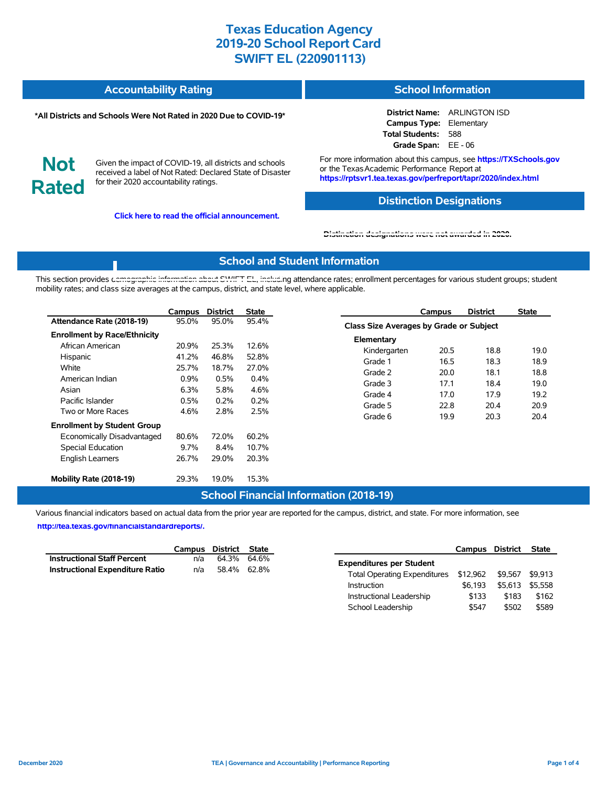| <b>Accountability Rating</b> | <b>School Information</b> |
|------------------------------|---------------------------|
|                              |                           |

#### **\*All Districts and Schools Were Not Rated in 2020 Due to COVID-19\***

**District Name:** ARLINGTON ISD **Campus Type:** Elementary **Total Students:** 588 **Grade Span:** EE - 06

**Not Rated**

Given the impact of COVID-19, all districts and schools received a label of Not Rated: Declared State of Disaster for their 2020 accountability ratings.

**Click here to read the official announcement.**

For more information about this campus, see **https://TXSchools.gov** or the Texas Academic Performance Report at **https://rptsvr1.tea.texas.gov/perfreport/tapr/2020/index.html**

### **Distinction Designations**

Instructional Leadership  $$133$  \$183 \$162 School Leadership  $$547$  \$502 \$589

#### **[Distinction designations were not awarded in 2020.](https://rptsvr1.tea.texas.gov/perfreport/tapr/2020/index.html)**

### **School and Student Information**

This section provides [demographic information about SWIFT EL, includi](https://tea.texas.gov/about-tea/news-and-multimedia/correspondence/taa-letters/every-student-succeeds-act-essa-waiver-approval-2020-state-academic-accountability)ng attendance rates; enrollment percentages for various student groups; student mobility rates; and class size averages at the campus, district, and state level, where applicable.

|                                                                                                                              | Campus                                             | <b>District</b>                                 | <b>State</b>                                    | Campus                                                                                                         | <b>District</b>                         | <b>State</b>                         |  |  |
|------------------------------------------------------------------------------------------------------------------------------|----------------------------------------------------|-------------------------------------------------|-------------------------------------------------|----------------------------------------------------------------------------------------------------------------|-----------------------------------------|--------------------------------------|--|--|
| Attendance Rate (2018-19)                                                                                                    | 95.0%                                              | 95.0%                                           | 95.4%                                           |                                                                                                                | Class Size Averages by Grade or Subject |                                      |  |  |
| <b>Enrollment by Race/Ethnicity</b><br>African American<br>Hispanic<br>White<br>American Indian<br>Asian<br>Pacific Islander | 20.9%<br>41.2%<br>25.7%<br>$0.9\%$<br>6.3%<br>0.5% | 25.3%<br>46.8%<br>18.7%<br>0.5%<br>5.8%<br>0.2% | 12.6%<br>52.8%<br>27.0%<br>0.4%<br>4.6%<br>0.2% | Elementary<br>Kindergarten<br>20.5<br>16.5<br>Grade 1<br>Grade 2<br>20.0<br>17.1<br>Grade 3<br>17.0<br>Grade 4 | 18.8<br>18.3<br>18.1<br>18.4<br>17.9    | 19.0<br>18.9<br>18.8<br>19.0<br>19.2 |  |  |
| Two or More Races                                                                                                            | 4.6%                                               | 2.8%                                            | 2.5%                                            | Grade 5<br>22.8<br>19.9<br>Grade 6                                                                             | 20.4<br>20.3                            | 20.9<br>20.4                         |  |  |
| <b>Enrollment by Student Group</b><br>Economically Disadvantaged<br>Special Education<br><b>English Learners</b>             | 80.6%<br>9.7%<br>26.7%                             | 72.0%<br>8.4%<br>29.0%                          | 60.2%<br>10.7%<br>20.3%                         |                                                                                                                |                                         |                                      |  |  |
| Mobility Rate (2018-19)                                                                                                      | 29.3%                                              | 19.0%                                           | 15.3%                                           |                                                                                                                |                                         |                                      |  |  |

#### **School Financial Information (2018-19)**

Various financial indicators based on actual data from the prior year are reported for the campus, district, and state. For more information, see

**[http://tea.texas.gov/financialstandardreports/.](http://tea.texas.gov/financialstandardreports/)**

|                                    | Campus District State |                                                       | Campus District State |                 |  |
|------------------------------------|-----------------------|-------------------------------------------------------|-----------------------|-----------------|--|
| <b>Instructional Staff Percent</b> | n/a 64.3% 64.6%       | <b>Expenditures per Student</b>                       |                       |                 |  |
| Instructional Expenditure Ratio    | n/a 58.4% 62.8%       | Total Operating Expenditures \$12,962 \$9,567 \$9,913 |                       |                 |  |
|                                    |                       | Instruction                                           | \$6.193               | \$5,613 \$5,558 |  |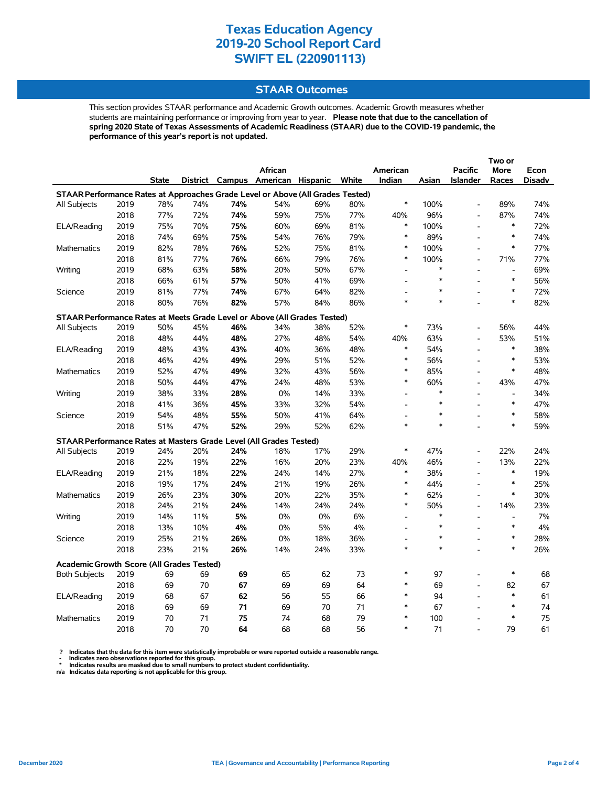### **STAAR Outcomes**

This section provides STAAR performance and Academic Growth outcomes. Academic Growth measures whether students are maintaining performance or improving from year to year. **Please note that due to the cancellation of spring 2020 State of Texas Assessments of Academic Readiness (STAAR) due to the COVID-19 pandemic, the performance of this year's report is not updated.**

|                                                                                |              |              |            |            | <b>African</b> |                                   |            | American                 |        | <b>Pacific</b>           | More                     | Econ   |
|--------------------------------------------------------------------------------|--------------|--------------|------------|------------|----------------|-----------------------------------|------------|--------------------------|--------|--------------------------|--------------------------|--------|
|                                                                                |              | <b>State</b> |            |            |                | District Campus American Hispanic | White      | Indian                   | Asian  | <b>Islander</b>          | Races                    | Disadv |
| STAAR Performance Rates at Approaches Grade Level or Above (All Grades Tested) |              |              |            |            |                |                                   |            |                          |        |                          |                          |        |
| All Subjects                                                                   | 2019         | 78%          | 74%        | 74%        | 54%            | 69%                               | 80%        | $\ast$                   | 100%   | $\overline{a}$           | 89%                      | 74%    |
|                                                                                | 2018         | 77%          | 72%        | 74%        | 59%            | 75%                               | 77%        | 40%                      | 96%    | $\overline{a}$           | 87%                      | 74%    |
| ELA/Reading                                                                    | 2019         | 75%          | 70%        | 75%        | 60%            | 69%                               | 81%        | $\ast$                   | 100%   |                          | $\ast$                   | 72%    |
|                                                                                | 2018         | 74%          | 69%        | 75%        | 54%            | 76%                               | 79%        | $\ast$                   | 89%    |                          | $\ast$                   | 74%    |
| <b>Mathematics</b>                                                             | 2019         | 82%          | 78%        | 76%        | 52%            | 75%                               | 81%        | $\ast$                   | 100%   | L,                       | $\ast$                   | 77%    |
|                                                                                | 2018         | 81%          | 77%        | 76%        | 66%            | 79%                               | 76%        | $\ast$                   | 100%   | $\overline{a}$           | 71%                      | 77%    |
| Writing                                                                        | 2019         | 68%          | 63%        | 58%        | 20%            | 50%                               | 67%        | $\overline{\phantom{a}}$ | *      |                          | $\overline{a}$           | 69%    |
|                                                                                | 2018         | 66%          | 61%        | 57%        | 50%            | 41%                               | 69%        |                          | $\ast$ |                          | $\ast$                   | 56%    |
| Science                                                                        | 2019         | 81%          | 77%        | 74%        | 67%            | 64%                               | 82%        | $\overline{a}$           |        |                          | $\ast$                   | 72%    |
|                                                                                | 2018         | 80%          | 76%        | 82%        | 57%            | 84%                               | 86%        | $\ast$                   | $\ast$ |                          | $\ast$                   | 82%    |
| STAAR Performance Rates at Meets Grade Level or Above (All Grades Tested)      |              |              |            |            |                |                                   |            |                          |        |                          |                          |        |
| All Subjects                                                                   | 2019         | 50%          | 45%        | 46%        | 34%            | 38%                               | 52%        | $\ast$                   | 73%    |                          | 56%                      | 44%    |
|                                                                                | 2018         | 48%          | 44%        | 48%        | 27%            | 48%                               | 54%        | 40%                      | 63%    | $\overline{a}$           | 53%                      | 51%    |
| ELA/Reading                                                                    | 2019         | 48%          | 43%        | 43%        | 40%            | 36%                               | 48%        | $\ast$                   | 54%    | $\overline{\phantom{a}}$ | $\ast$                   | 38%    |
|                                                                                | 2018         | 46%          | 42%        | 49%        | 29%            | 51%                               | 52%        | $\ast$                   | 56%    | L,                       | $\ast$                   | 53%    |
| Mathematics                                                                    | 2019         | 52%          | 47%        | 49%        | 32%            | 43%                               | 56%        | $\ast$                   | 85%    |                          | $\ast$                   | 48%    |
|                                                                                | 2018         | 50%          | 44%        | 47%        | 24%            | 48%                               | 53%        | $\ast$                   | 60%    | $\overline{a}$           | 43%                      | 47%    |
| Writing                                                                        | 2019         | 38%          | 33%        | 28%        | 0%             | 14%                               | 33%        | $\overline{\phantom{a}}$ | $\ast$ | $\overline{a}$           | $\overline{a}$           | 34%    |
|                                                                                | 2018         | 41%          | 36%        | 45%        | 33%            | 32%                               | 54%        | $\overline{\phantom{a}}$ | $\ast$ |                          | $\ast$                   | 47%    |
| Science                                                                        | 2019         | 54%          | 48%        | 55%        | 50%            | 41%                               | 64%        |                          | $\ast$ | $\overline{a}$           | $\ast$                   | 58%    |
|                                                                                | 2018         | 51%          | 47%        | 52%        | 29%            | 52%                               | 62%        | $\ast$                   | $\ast$ |                          | $\ast$                   | 59%    |
|                                                                                |              |              |            |            |                |                                   |            |                          |        |                          |                          |        |
| STAAR Performance Rates at Masters Grade Level (All Grades Tested)             |              |              |            |            |                |                                   |            | $\ast$                   | 47%    | $\overline{a}$           | 22%                      | 24%    |
| All Subjects                                                                   | 2019<br>2018 | 24%<br>22%   | 20%<br>19% | 24%<br>22% | 18%<br>16%     | 17%                               | 29%<br>23% | 40%                      | 46%    | $\overline{a}$           | 13%                      | 22%    |
|                                                                                | 2019         | 21%          | 18%        |            |                | 20%                               |            | $\ast$                   | 38%    | $\overline{a}$           | $\ast$                   | 19%    |
| ELA/Reading                                                                    | 2018         | 19%          | 17%        | 22%<br>24% | 24%<br>21%     | 14%<br>19%                        | 27%<br>26% | $\ast$                   | 44%    | $\overline{a}$           | $\ast$                   | 25%    |
|                                                                                | 2019         | 26%          | 23%        | 30%        | 20%            | 22%                               | 35%        | $\ast$                   | 62%    |                          | $\ast$                   | 30%    |
| Mathematics                                                                    | 2018         | 24%          | 21%        | 24%        | 14%            | 24%                               | 24%        | $\ast$                   | 50%    |                          | 14%                      | 23%    |
| Writing                                                                        | 2019         | 14%          | 11%        | 5%         | 0%             | 0%                                | 6%         | $\blacksquare$           | $\ast$ | L,                       | $\overline{\phantom{a}}$ | 7%     |
|                                                                                | 2018         | 13%          | 10%        | 4%         | 0%             | 5%                                | 4%         | $\overline{a}$           | $\ast$ |                          | $\ast$                   | 4%     |
| Science                                                                        | 2019         | 25%          | 21%        | 26%        | 0%             | 18%                               | 36%        | $\overline{\phantom{a}}$ | $\ast$ | $\overline{a}$           | $\ast$                   | 28%    |
|                                                                                | 2018         | 23%          | 21%        | 26%        | 14%            | 24%                               | 33%        | $\ast$                   | $\ast$ | $\overline{a}$           | $\ast$                   | 26%    |
|                                                                                |              |              |            |            |                |                                   |            |                          |        |                          |                          |        |
| <b>Academic Growth Score (All Grades Tested)</b>                               |              |              |            |            |                |                                   |            |                          |        |                          |                          |        |
| <b>Both Subjects</b>                                                           | 2019         | 69           | 69         | 69         | 65             | 62                                | 73         | $\ast$                   | 97     |                          | $\ast$                   | 68     |
|                                                                                | 2018         | 69           | 70         | 67         | 69             | 69                                | 64         | $\ast$                   | 69     | $\overline{a}$           | 82                       | 67     |
| ELA/Reading                                                                    | 2019         | 68           | 67         | 62         | 56             | 55                                | 66         | $\ast$                   | 94     | $\overline{a}$           | $\ast$                   | 61     |
|                                                                                | 2018         | 69           | 69         | 71         | 69             | 70                                | 71         | $\ast$                   | 67     |                          | $\ast$                   | 74     |
| <b>Mathematics</b>                                                             | 2019         | 70           | 71         | 75         | 74             | 68                                | 79         | $\ast$                   | 100    |                          | $\ast$                   | 75     |
|                                                                                | 2018         | 70           | 70         | 64         | 68             | 68                                | 56         | $\ast$                   | 71     |                          | 79                       | 61     |

? Indicates that the data for this item were statistically improbable or were reported outside a reasonable range.<br>- Indicates zero observations reported for this group.<br>\* Indicates results are masked due to small numbers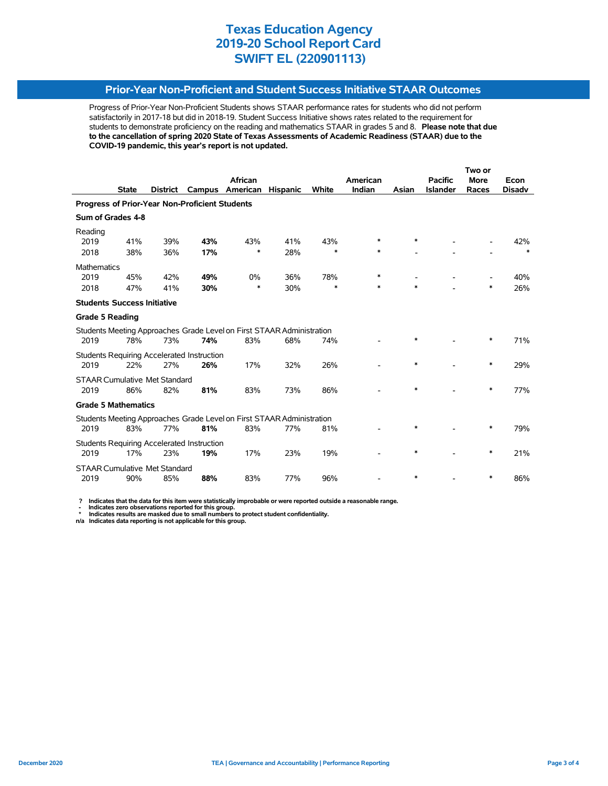### **Prior-Year Non-Proficient and Student Success Initiative STAAR Outcomes**

Progress of Prior-Year Non-Proficient Students shows STAAR performance rates for students who did not perform satisfactorily in 2017-18 but did in 2018-19. Student Success Initiative shows rates related to the requirement for students to demonstrate proficiency on the reading and mathematics STAAR in grades 5 and 8. **Please note that due to the cancellation of spring 2020 State of Texas Assessments of Academic Readiness (STAAR) due to the COVID-19 pandemic, this year's report is not updated.**

|                                                                       |              |                                      |                                                   |                                                                       |                 | Two or |          |        |                 |             |               |  |
|-----------------------------------------------------------------------|--------------|--------------------------------------|---------------------------------------------------|-----------------------------------------------------------------------|-----------------|--------|----------|--------|-----------------|-------------|---------------|--|
|                                                                       |              |                                      |                                                   | African                                                               |                 |        | American |        | <b>Pacific</b>  | <b>More</b> | Econ          |  |
|                                                                       | <b>State</b> | <b>District</b>                      | Campus                                            | American                                                              | <b>Hispanic</b> | White  | Indian   | Asian  | <b>Islander</b> | Races       | <b>Disadv</b> |  |
| Progress of Prior-Year Non-Proficient Students                        |              |                                      |                                                   |                                                                       |                 |        |          |        |                 |             |               |  |
| Sum of Grades 4-8                                                     |              |                                      |                                                   |                                                                       |                 |        |          |        |                 |             |               |  |
| Reading                                                               |              |                                      |                                                   |                                                                       |                 |        |          |        |                 |             |               |  |
| 2019                                                                  | 41%          | 39%                                  | 43%                                               | 43%                                                                   | 41%             | 43%    | $\ast$   | $\ast$ |                 |             | 42%           |  |
| 2018                                                                  | 38%          | 36%                                  | 17%                                               | *                                                                     | 28%             | $\ast$ | $\ast$   |        |                 |             | $\ast$        |  |
| Mathematics                                                           |              |                                      |                                                   |                                                                       |                 |        |          |        |                 |             |               |  |
| 2019                                                                  | 45%          | 42%                                  | 49%                                               | 0%                                                                    | 36%             | 78%    | *        |        |                 |             | 40%           |  |
| 2018                                                                  | 47%          | 41%                                  | 30%                                               | *                                                                     | 30%             | $\ast$ | *        | $\ast$ |                 | $\ast$      | 26%           |  |
| <b>Students Success Initiative</b>                                    |              |                                      |                                                   |                                                                       |                 |        |          |        |                 |             |               |  |
| <b>Grade 5 Reading</b>                                                |              |                                      |                                                   |                                                                       |                 |        |          |        |                 |             |               |  |
|                                                                       |              |                                      |                                                   | Students Meeting Approaches Grade Level on First STAAR Administration |                 |        |          |        |                 |             |               |  |
| 2019                                                                  | 78%          | 73%                                  | 74%                                               | 83%                                                                   | 68%             | 74%    |          | $\ast$ |                 | $\ast$      | 71%           |  |
|                                                                       |              |                                      | <b>Students Requiring Accelerated Instruction</b> |                                                                       |                 |        |          |        |                 |             |               |  |
| 2019                                                                  | 22%          | 27%                                  | 26%                                               | 17%                                                                   | 32%             | 26%    |          | $\ast$ |                 | $\ast$      | 29%           |  |
|                                                                       |              | <b>STAAR Cumulative Met Standard</b> |                                                   |                                                                       |                 |        |          |        |                 |             |               |  |
| 2019                                                                  | 86%          | 82%                                  | 81%                                               | 83%                                                                   | 73%             | 86%    |          | $\ast$ |                 | ∗           | 77%           |  |
| <b>Grade 5 Mathematics</b>                                            |              |                                      |                                                   |                                                                       |                 |        |          |        |                 |             |               |  |
| Students Meeting Approaches Grade Level on First STAAR Administration |              |                                      |                                                   |                                                                       |                 |        |          |        |                 |             |               |  |
| 2019                                                                  | 83%          | 77%                                  | 81%                                               | 83%                                                                   | 77%             | 81%    |          | *      |                 | ∗           | 79%           |  |
|                                                                       |              |                                      | <b>Students Requiring Accelerated Instruction</b> |                                                                       |                 |        |          |        |                 |             |               |  |
| 2019                                                                  | 17%          | 23%                                  | 19%                                               | 17%                                                                   | 23%             | 19%    |          | $\ast$ |                 | $\ast$      | 21%           |  |
|                                                                       |              | <b>STAAR Cumulative Met Standard</b> |                                                   |                                                                       |                 |        |          |        |                 |             |               |  |
| 2019                                                                  | 90%          | 85%                                  | 88%                                               | 83%                                                                   | 77%             | 96%    |          | $\ast$ |                 | ∗           | 86%           |  |

 **? Indicates that the data for this item were statistically improbable or were reported outside a reasonable range.**

 **- Indicates zero observations reported for this group. \* Indicates results are masked due to small numbers to protect student confidentiality.**

**n/a Indicates data reporting is not applicable for this group.**